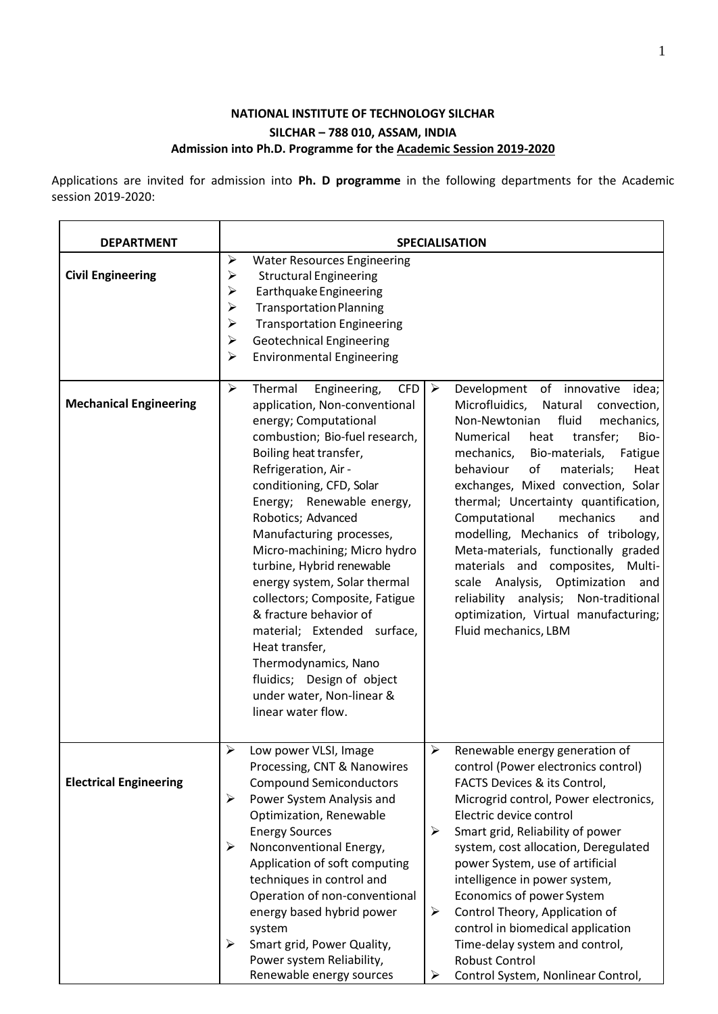# **NATIONAL INSTITUTE OF TECHNOLOGY SILCHAR SILCHAR – 788 010, ASSAM, INDIA Admission into Ph.D. Programme for the Academic Session 2019-2020**

Applications are invited for admission into **Ph. D programme** in the following departments for the Academic session 2019-2020:

| <b>DEPARTMENT</b>             | <b>SPECIALISATION</b>                                                                                                                                                                                                                                                                                                                                                                                                                                                                                                                                                                                                                                                                                                                                                                                                                                                                                                                                                                                                                                                                                                                                                                                                                                                                                                 |  |  |  |  |
|-------------------------------|-----------------------------------------------------------------------------------------------------------------------------------------------------------------------------------------------------------------------------------------------------------------------------------------------------------------------------------------------------------------------------------------------------------------------------------------------------------------------------------------------------------------------------------------------------------------------------------------------------------------------------------------------------------------------------------------------------------------------------------------------------------------------------------------------------------------------------------------------------------------------------------------------------------------------------------------------------------------------------------------------------------------------------------------------------------------------------------------------------------------------------------------------------------------------------------------------------------------------------------------------------------------------------------------------------------------------|--|--|--|--|
| <b>Civil Engineering</b>      | ➤<br><b>Water Resources Engineering</b><br>$\blacktriangleright$<br><b>Structural Engineering</b><br>$\blacktriangleright$<br>Earthquake Engineering<br>$\blacktriangleright$<br><b>Transportation Planning</b><br>➤<br><b>Transportation Engineering</b><br><b>Geotechnical Engineering</b><br>$\blacktriangleright$<br>➤<br><b>Environmental Engineering</b>                                                                                                                                                                                                                                                                                                                                                                                                                                                                                                                                                                                                                                                                                                                                                                                                                                                                                                                                                        |  |  |  |  |
| <b>Mechanical Engineering</b> | $\blacktriangleright$<br>Thermal<br>$\blacktriangleright$<br>Development of innovative<br>Engineering,<br><b>CFD</b><br>idea;<br>Microfluidics,<br>application, Non-conventional<br>Natural<br>convection,<br>energy; Computational<br>Non-Newtonian<br>fluid<br>mechanics,<br>combustion; Bio-fuel research,<br>Bio-<br>Numerical<br>transfer;<br>heat<br>Boiling heat transfer,<br>mechanics,<br>Bio-materials,<br>Fatigue<br>Refrigeration, Air -<br>behaviour<br>of<br>materials;<br>Heat<br>conditioning, CFD, Solar<br>exchanges, Mixed convection, Solar<br>thermal; Uncertainty quantification,<br>Energy; Renewable energy,<br>Robotics; Advanced<br>Computational<br>mechanics<br>and<br>modelling, Mechanics of tribology,<br>Manufacturing processes,<br>Meta-materials, functionally graded<br>Micro-machining; Micro hydro<br>turbine, Hybrid renewable<br>materials and composites, Multi-<br>energy system, Solar thermal<br>scale Analysis,<br>Optimization<br>and<br>collectors; Composite, Fatigue<br>reliability analysis;<br>Non-traditional<br>& fracture behavior of<br>optimization, Virtual manufacturing;<br>Fluid mechanics, LBM<br>material; Extended surface,<br>Heat transfer,<br>Thermodynamics, Nano<br>fluidics; Design of object<br>under water, Non-linear &<br>linear water flow. |  |  |  |  |
| <b>Electrical Engineering</b> | $\blacktriangleright$<br>➤<br>Low power VLSI, Image<br>Renewable energy generation of<br>Processing, CNT & Nanowires<br>control (Power electronics control)<br><b>Compound Semiconductors</b><br>FACTS Devices & its Control,<br>Power System Analysis and<br>➤<br>Microgrid control, Power electronics,<br>Electric device control<br>Optimization, Renewable<br><b>Energy Sources</b><br>➤<br>Smart grid, Reliability of power<br>$\blacktriangleright$<br>Nonconventional Energy,<br>system, cost allocation, Deregulated<br>Application of soft computing<br>power System, use of artificial<br>techniques in control and<br>intelligence in power system,<br>Operation of non-conventional<br>Economics of power System<br>energy based hybrid power<br>Control Theory, Application of<br>➤<br>control in biomedical application<br>system<br>Smart grid, Power Quality,<br>Time-delay system and control,<br>➤<br>Power system Reliability,<br><b>Robust Control</b><br>Renewable energy sources<br>Control System, Nonlinear Control,<br>➤                                                                                                                                                                                                                                                                     |  |  |  |  |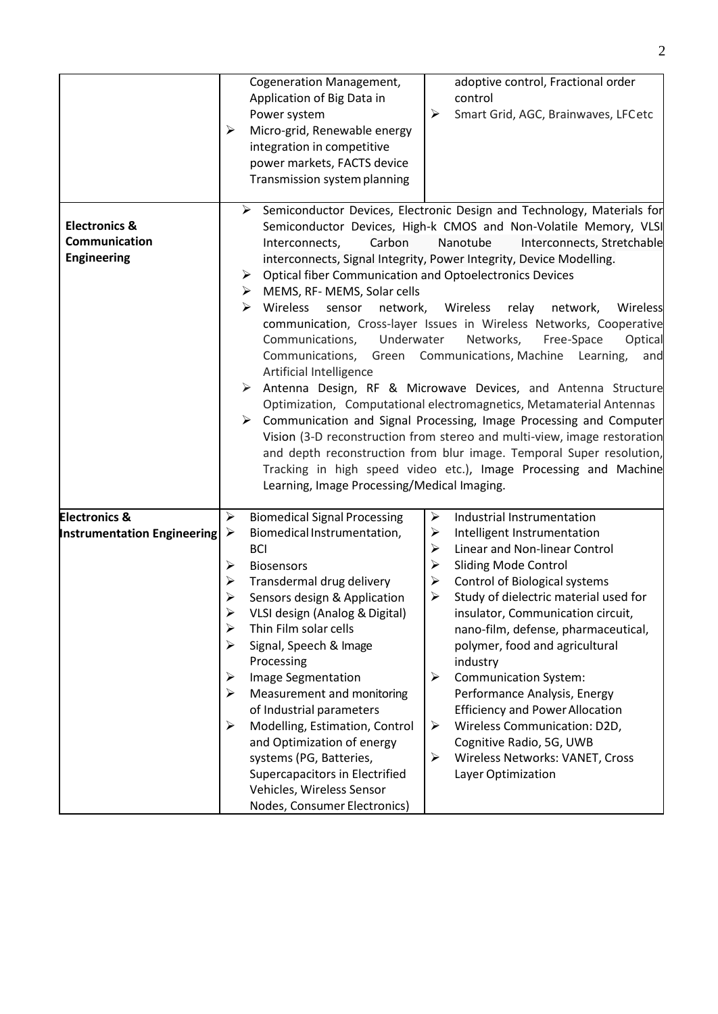|                                    | $\blacktriangleright$ | <b>Cogeneration Management,</b><br>Application of Big Data in<br>Power system<br>Micro-grid, Renewable energy<br>integration in competitive<br>power markets, FACTS device<br>Transmission system planning | ➤                                                              | adoptive control, Fractional order<br>control<br>Smart Grid, AGC, Brainwaves, LFCetc<br>> Semiconductor Devices, Electronic Design and Technology, Materials for |  |  |  |  |  |
|------------------------------------|-----------------------|------------------------------------------------------------------------------------------------------------------------------------------------------------------------------------------------------------|----------------------------------------------------------------|------------------------------------------------------------------------------------------------------------------------------------------------------------------|--|--|--|--|--|
| <b>Electronics &amp;</b>           |                       | Semiconductor Devices, High-k CMOS and Non-Volatile Memory, VLSI                                                                                                                                           |                                                                |                                                                                                                                                                  |  |  |  |  |  |
| Communication                      |                       | Carbon<br>Nanotube<br>Interconnects,<br>Interconnects, Stretchable                                                                                                                                         |                                                                |                                                                                                                                                                  |  |  |  |  |  |
| <b>Engineering</b>                 |                       | interconnects, Signal Integrity, Power Integrity, Device Modelling.                                                                                                                                        |                                                                |                                                                                                                                                                  |  |  |  |  |  |
|                                    |                       | ➤                                                                                                                                                                                                          | <b>Optical fiber Communication and Optoelectronics Devices</b> |                                                                                                                                                                  |  |  |  |  |  |
|                                    |                       | MEMS, RF- MEMS, Solar cells<br>➤                                                                                                                                                                           |                                                                |                                                                                                                                                                  |  |  |  |  |  |
|                                    |                       | Wireless<br>➤<br>sensor<br>network,                                                                                                                                                                        |                                                                | Wireless<br>relay<br>network,<br>Wireless                                                                                                                        |  |  |  |  |  |
|                                    |                       |                                                                                                                                                                                                            |                                                                | communication, Cross-layer Issues in Wireless Networks, Cooperative                                                                                              |  |  |  |  |  |
|                                    |                       | Underwater<br>Communications,                                                                                                                                                                              |                                                                | Networks,<br>Free-Space<br>Optical                                                                                                                               |  |  |  |  |  |
|                                    |                       |                                                                                                                                                                                                            |                                                                | Communications, Green Communications, Machine Learning,<br>and                                                                                                   |  |  |  |  |  |
|                                    |                       | Artificial Intelligence                                                                                                                                                                                    |                                                                |                                                                                                                                                                  |  |  |  |  |  |
|                                    |                       |                                                                                                                                                                                                            |                                                                | > Antenna Design, RF & Microwave Devices, and Antenna Structure                                                                                                  |  |  |  |  |  |
|                                    |                       | Optimization, Computational electromagnetics, Metamaterial Antennas                                                                                                                                        |                                                                |                                                                                                                                                                  |  |  |  |  |  |
|                                    |                       | ➤                                                                                                                                                                                                          |                                                                | Communication and Signal Processing, Image Processing and Computer                                                                                               |  |  |  |  |  |
|                                    |                       | Vision (3-D reconstruction from stereo and multi-view, image restoration                                                                                                                                   |                                                                |                                                                                                                                                                  |  |  |  |  |  |
|                                    |                       | and depth reconstruction from blur image. Temporal Super resolution,                                                                                                                                       |                                                                |                                                                                                                                                                  |  |  |  |  |  |
|                                    |                       | Tracking in high speed video etc.), Image Processing and Machine                                                                                                                                           |                                                                |                                                                                                                                                                  |  |  |  |  |  |
|                                    |                       | Learning, Image Processing/Medical Imaging.                                                                                                                                                                |                                                                |                                                                                                                                                                  |  |  |  |  |  |
| <b>Electronics &amp;</b>           | ➤                     | <b>Biomedical Signal Processing</b>                                                                                                                                                                        | $\blacktriangleright$                                          | Industrial Instrumentation                                                                                                                                       |  |  |  |  |  |
| <b>Instrumentation Engineering</b> | ➤                     | Biomedical Instrumentation,                                                                                                                                                                                | ➤                                                              | Intelligent Instrumentation                                                                                                                                      |  |  |  |  |  |
|                                    |                       | <b>BCI</b>                                                                                                                                                                                                 | ➤                                                              | Linear and Non-linear Control                                                                                                                                    |  |  |  |  |  |
|                                    | ➤                     | <b>Biosensors</b>                                                                                                                                                                                          | ➤                                                              | <b>Sliding Mode Control</b>                                                                                                                                      |  |  |  |  |  |
|                                    | ≻                     | Transdermal drug delivery                                                                                                                                                                                  | ➤                                                              | <b>Control of Biological systems</b>                                                                                                                             |  |  |  |  |  |
|                                    | ➤                     | Sensors design & Application                                                                                                                                                                               | ➤                                                              | Study of dielectric material used for                                                                                                                            |  |  |  |  |  |
|                                    | ➤                     | VLSI design (Analog & Digital)                                                                                                                                                                             |                                                                | insulator, Communication circuit,                                                                                                                                |  |  |  |  |  |
|                                    | ➤                     | Thin Film solar cells                                                                                                                                                                                      |                                                                | nano-film, defense, pharmaceutical,                                                                                                                              |  |  |  |  |  |
|                                    |                       | Signal, Speech & Image                                                                                                                                                                                     |                                                                | polymer, food and agricultural                                                                                                                                   |  |  |  |  |  |
|                                    |                       | Processing                                                                                                                                                                                                 |                                                                | industry                                                                                                                                                         |  |  |  |  |  |
|                                    | ➤                     | Image Segmentation                                                                                                                                                                                         | ➤                                                              | <b>Communication System:</b>                                                                                                                                     |  |  |  |  |  |
|                                    | ➤                     | Measurement and monitoring                                                                                                                                                                                 |                                                                | Performance Analysis, Energy                                                                                                                                     |  |  |  |  |  |
|                                    |                       | of Industrial parameters                                                                                                                                                                                   |                                                                | <b>Efficiency and Power Allocation</b>                                                                                                                           |  |  |  |  |  |
|                                    | ➤                     | Modelling, Estimation, Control                                                                                                                                                                             | ➤                                                              | Wireless Communication: D2D,                                                                                                                                     |  |  |  |  |  |
|                                    |                       | and Optimization of energy                                                                                                                                                                                 |                                                                | Cognitive Radio, 5G, UWB                                                                                                                                         |  |  |  |  |  |
|                                    |                       | systems (PG, Batteries,                                                                                                                                                                                    | ➤                                                              | Wireless Networks: VANET, Cross                                                                                                                                  |  |  |  |  |  |
|                                    |                       | Supercapacitors in Electrified                                                                                                                                                                             |                                                                | Layer Optimization                                                                                                                                               |  |  |  |  |  |
|                                    |                       | Vehicles, Wireless Sensor                                                                                                                                                                                  |                                                                |                                                                                                                                                                  |  |  |  |  |  |
|                                    |                       | Nodes, Consumer Electronics)                                                                                                                                                                               |                                                                |                                                                                                                                                                  |  |  |  |  |  |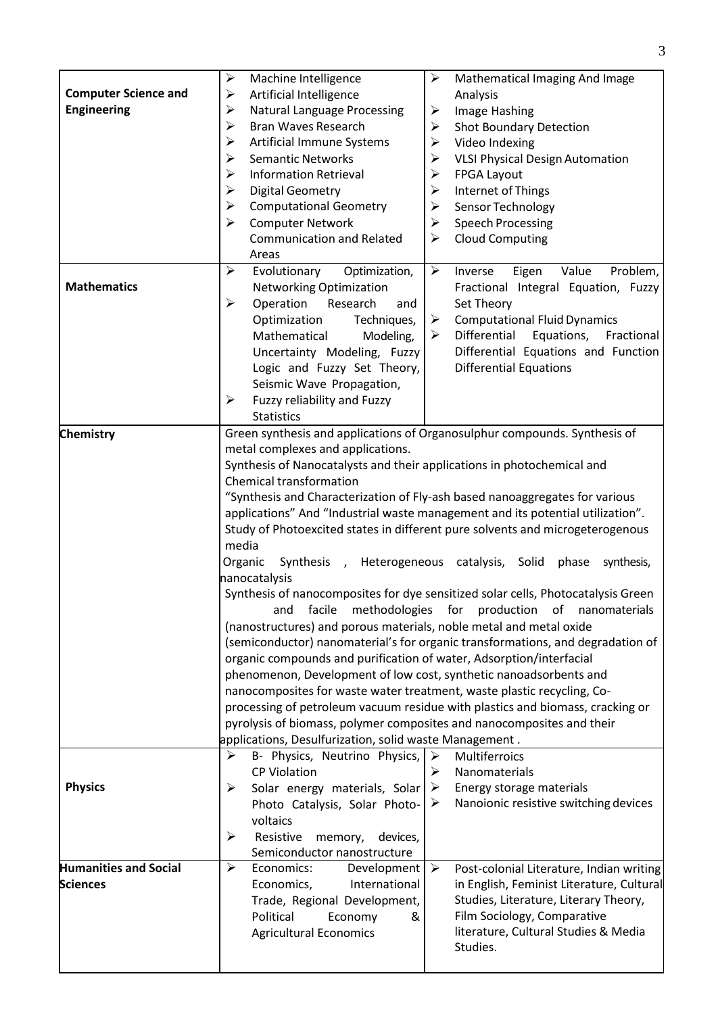| <b>Computer Science and</b>  | $\blacktriangleright$<br>Machine Intelligence<br>➤                             | $\blacktriangleright$<br>Mathematical Imaging And Image                          |  |  |  |  |  |
|------------------------------|--------------------------------------------------------------------------------|----------------------------------------------------------------------------------|--|--|--|--|--|
| <b>Engineering</b>           | Artificial Intelligence                                                        | Analysis                                                                         |  |  |  |  |  |
|                              | <b>Natural Language Processing</b><br>➤                                        | $\blacktriangleright$<br>Image Hashing                                           |  |  |  |  |  |
|                              | $\blacktriangleright$<br><b>Bran Waves Research</b>                            | <b>Shot Boundary Detection</b><br>➤                                              |  |  |  |  |  |
|                              | Artificial Immune Systems<br>➤                                                 | Video Indexing<br>➤                                                              |  |  |  |  |  |
|                              | <b>Semantic Networks</b><br>➤                                                  | <b>VLSI Physical Design Automation</b><br>➤                                      |  |  |  |  |  |
|                              | <b>Information Retrieval</b><br>➤                                              | FPGA Layout<br>➤                                                                 |  |  |  |  |  |
|                              | <b>Digital Geometry</b><br>➤                                                   | Internet of Things<br>➤                                                          |  |  |  |  |  |
|                              | <b>Computational Geometry</b><br>➤                                             | Sensor Technology<br>➤                                                           |  |  |  |  |  |
|                              | <b>Computer Network</b><br>➤                                                   | <b>Speech Processing</b><br>➤                                                    |  |  |  |  |  |
|                              | <b>Communication and Related</b><br>Areas                                      | <b>Cloud Computing</b><br>➤                                                      |  |  |  |  |  |
|                              | $\blacktriangleright$<br>Evolutionary<br>Optimization,                         | $\blacktriangleright$<br>Problem,<br>Value<br>Inverse<br>Eigen                   |  |  |  |  |  |
| <b>Mathematics</b>           | Networking Optimization                                                        | Fractional Integral Equation, Fuzzy                                              |  |  |  |  |  |
|                              | Operation<br>➤<br>Research<br>and                                              | Set Theory                                                                       |  |  |  |  |  |
|                              | Optimization<br>Techniques,                                                    | <b>Computational Fluid Dynamics</b><br>➤                                         |  |  |  |  |  |
|                              | Mathematical<br>Modeling,                                                      | Differential<br>Equations,<br>➤<br>Fractional                                    |  |  |  |  |  |
|                              | Uncertainty Modeling, Fuzzy                                                    | Differential Equations and Function                                              |  |  |  |  |  |
|                              | Logic and Fuzzy Set Theory,                                                    | <b>Differential Equations</b>                                                    |  |  |  |  |  |
|                              |                                                                                |                                                                                  |  |  |  |  |  |
|                              | Seismic Wave Propagation,<br>➤                                                 |                                                                                  |  |  |  |  |  |
|                              | Fuzzy reliability and Fuzzy<br><b>Statistics</b>                               |                                                                                  |  |  |  |  |  |
| <b>Chemistry</b>             |                                                                                | Green synthesis and applications of Organosulphur compounds. Synthesis of        |  |  |  |  |  |
|                              | metal complexes and applications.                                              |                                                                                  |  |  |  |  |  |
|                              | Synthesis of Nanocatalysts and their applications in photochemical and         |                                                                                  |  |  |  |  |  |
|                              | Chemical transformation                                                        |                                                                                  |  |  |  |  |  |
|                              |                                                                                | "Synthesis and Characterization of Fly-ash based nanoaggregates for various      |  |  |  |  |  |
|                              |                                                                                | applications" And "Industrial waste management and its potential utilization".   |  |  |  |  |  |
|                              |                                                                                |                                                                                  |  |  |  |  |  |
|                              |                                                                                | Study of Photoexcited states in different pure solvents and microgeterogenous    |  |  |  |  |  |
|                              | media                                                                          |                                                                                  |  |  |  |  |  |
|                              | Organic<br>Heterogeneous catalysis, Solid<br>phase<br>synthesis,<br>Synthesis, |                                                                                  |  |  |  |  |  |
|                              | nanocatalysis                                                                  |                                                                                  |  |  |  |  |  |
|                              |                                                                                | Synthesis of nanocomposites for dye sensitized solar cells, Photocatalysis Green |  |  |  |  |  |
|                              | facile<br>and                                                                  | methodologies for production of nanomaterials                                    |  |  |  |  |  |
|                              | (nanostructures) and porous materials, noble metal and metal oxide             |                                                                                  |  |  |  |  |  |
|                              |                                                                                | (semiconductor) nanomaterial's for organic transformations, and degradation of   |  |  |  |  |  |
|                              | organic compounds and purification of water, Adsorption/interfacial            |                                                                                  |  |  |  |  |  |
|                              | phenomenon, Development of low cost, synthetic nanoadsorbents and              |                                                                                  |  |  |  |  |  |
|                              | nanocomposites for waste water treatment, waste plastic recycling, Co-         |                                                                                  |  |  |  |  |  |
|                              | processing of petroleum vacuum residue with plastics and biomass, cracking or  |                                                                                  |  |  |  |  |  |
|                              | pyrolysis of biomass, polymer composites and nanocomposites and their          |                                                                                  |  |  |  |  |  |
|                              | applications, Desulfurization, solid waste Management.                         |                                                                                  |  |  |  |  |  |
|                              | ➤<br>B- Physics, Neutrino Physics,                                             | Multiferroics<br>➤                                                               |  |  |  |  |  |
|                              | <b>CP Violation</b>                                                            | ➤<br>Nanomaterials                                                               |  |  |  |  |  |
| <b>Physics</b>               | Solar energy materials, Solar<br>➤                                             | Energy storage materials<br>➤                                                    |  |  |  |  |  |
|                              | Photo Catalysis, Solar Photo-                                                  | Nanoionic resistive switching devices<br>➤                                       |  |  |  |  |  |
|                              | voltaics                                                                       |                                                                                  |  |  |  |  |  |
|                              | Resistive<br>➤<br>memory,<br>devices,                                          |                                                                                  |  |  |  |  |  |
|                              | Semiconductor nanostructure                                                    |                                                                                  |  |  |  |  |  |
| <b>Humanities and Social</b> | ➤<br>Economics:<br>Development                                                 | Post-colonial Literature, Indian writing<br>➤                                    |  |  |  |  |  |
| <b>Sciences</b>              | Economics,<br>International                                                    | in English, Feminist Literature, Cultural                                        |  |  |  |  |  |
|                              | Trade, Regional Development,                                                   | Studies, Literature, Literary Theory,                                            |  |  |  |  |  |
|                              | Political<br>Economy<br>&                                                      | Film Sociology, Comparative                                                      |  |  |  |  |  |
|                              | <b>Agricultural Economics</b>                                                  | literature, Cultural Studies & Media                                             |  |  |  |  |  |
|                              |                                                                                | Studies.                                                                         |  |  |  |  |  |
|                              |                                                                                |                                                                                  |  |  |  |  |  |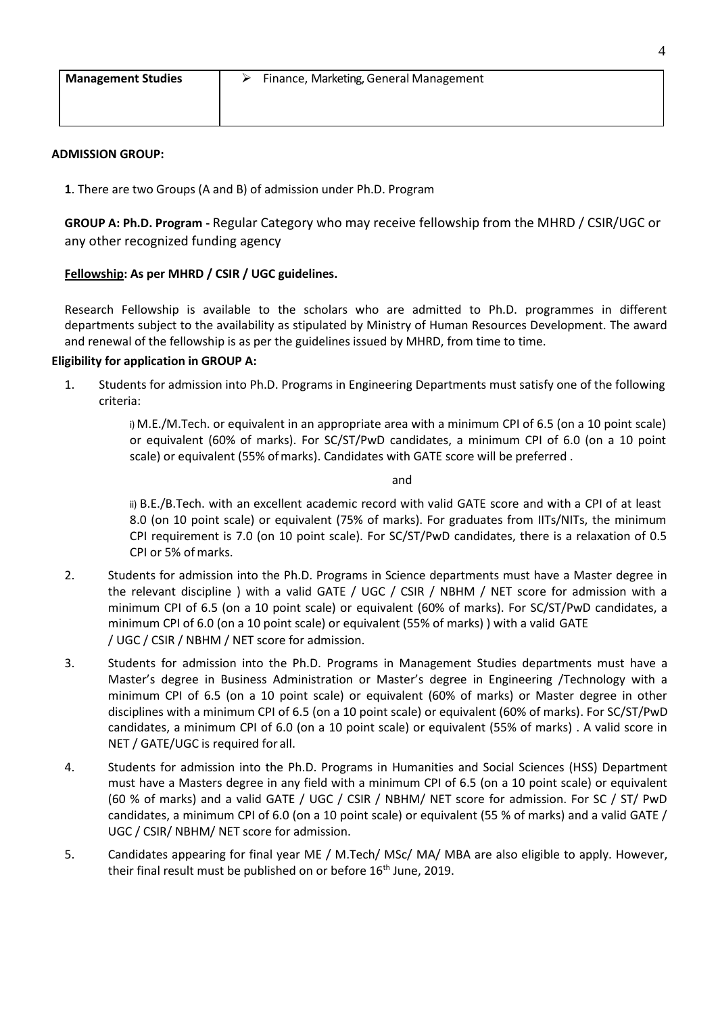| <b>Management Studies</b> | Finance, Marketing, General Management |
|---------------------------|----------------------------------------|
|                           |                                        |

## **ADMISSION GROUP:**

**1**. There are two Groups (A and B) of admission under Ph.D. Program

**GROUP A: Ph.D. Program -** Regular Category who may receive fellowship from the MHRD / CSIR/UGC or any other recognized funding agency

# **Fellowship: As per MHRD / CSIR / UGC guidelines.**

Research Fellowship is available to the scholars who are admitted to Ph.D. programmes in different departments subject to the availability as stipulated by Ministry of Human Resources Development. The award and renewal of the fellowship is as per the guidelines issued by MHRD, from time to time.

### **Eligibility for application in GROUP A:**

1. Students for admission into Ph.D. Programs in Engineering Departments must satisfy one of the following criteria:

> i) M.E./M.Tech. or equivalent in an appropriate area with a minimum CPI of 6.5 (on a 10 point scale) or equivalent (60% of marks). For SC/ST/PwD candidates, a minimum CPI of 6.0 (on a 10 point scale) or equivalent (55% of marks). Candidates with GATE score will be preferred .

#### and

ii) B.E./B.Tech. with an excellent academic record with valid GATE score and with a CPI of at least 8.0 (on 10 point scale) or equivalent (75% of marks). For graduates from IITs/NITs, the minimum CPI requirement is 7.0 (on 10 point scale). For SC/ST/PwD candidates, there is a relaxation of 0.5 CPI or 5% ofmarks.

- 2. Students for admission into the Ph.D. Programs in Science departments must have a Master degree in the relevant discipline ) with a valid GATE / UGC / CSIR / NBHM / NET score for admission with a minimum CPI of 6.5 (on a 10 point scale) or equivalent (60% of marks). For SC/ST/PwD candidates, a minimum CPI of 6.0 (on a 10 point scale) or equivalent (55% of marks) ) with a valid GATE / UGC / CSIR / NBHM / NET score for admission.
- 3. Students for admission into the Ph.D. Programs in Management Studies departments must have a Master's degree in Business Administration or Master's degree in Engineering /Technology with a minimum CPI of 6.5 (on a 10 point scale) or equivalent (60% of marks) or Master degree in other disciplines with a minimum CPI of 6.5 (on a 10 point scale) or equivalent (60% of marks). For SC/ST/PwD candidates, a minimum CPI of 6.0 (on a 10 point scale) or equivalent (55% of marks) . A valid score in NET / GATE/UGC is required for all.
- 4. Students for admission into the Ph.D. Programs in Humanities and Social Sciences (HSS) Department must have a Masters degree in any field with a minimum CPI of 6.5 (on a 10 point scale) or equivalent (60 % of marks) and a valid GATE / UGC / CSIR / NBHM/ NET score for admission. For SC / ST/ PwD candidates, a minimum CPI of 6.0 (on a 10 point scale) or equivalent (55 % of marks) and a valid GATE / UGC / CSIR/ NBHM/ NET score for admission.
- 5. Candidates appearing for final year ME / M.Tech/ MSc/ MA/ MBA are also eligible to apply. However, their final result must be published on or before 16<sup>th</sup> June, 2019.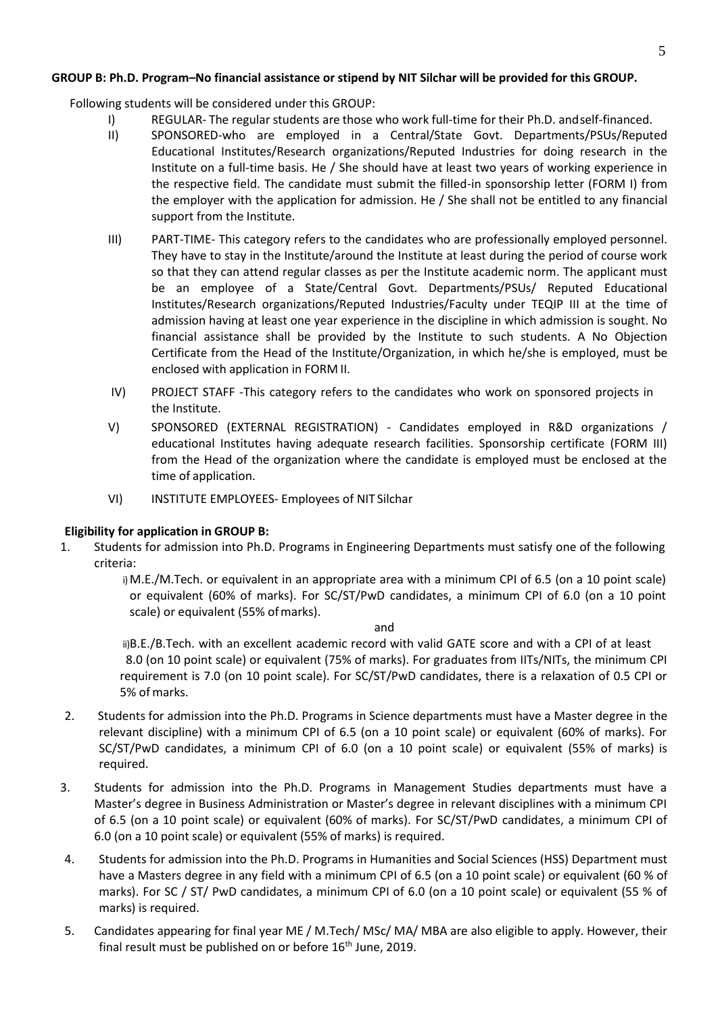## **GROUP B: Ph.D. Program–No financial assistance or stipend by NIT Silchar will be provided for this GROUP.**

Following students will be considered under this GROUP:

- I) REGULAR- The regular students are those who work full-time for their Ph.D. andself-financed.
- II) SPONSORED-who are employed in a Central/State Govt. Departments/PSUs/Reputed Educational Institutes/Research organizations/Reputed Industries for doing research in the Institute on a full-time basis. He / She should have at least two years of working experience in the respective field. The candidate must submit the filled-in sponsorship letter (FORM I) from the employer with the application for admission. He / She shall not be entitled to any financial support from the Institute.
- III) PART-TIME- This category refers to the candidates who are professionally employed personnel. They have to stay in the Institute/around the Institute at least during the period of course work so that they can attend regular classes as per the Institute academic norm. The applicant must be an employee of a State/Central Govt. Departments/PSUs/ Reputed Educational Institutes/Research organizations/Reputed Industries/Faculty under TEQIP III at the time of admission having at least one year experience in the discipline in which admission is sought. No financial assistance shall be provided by the Institute to such students. A No Objection Certificate from the Head of the Institute/Organization, in which he/she is employed, must be enclosed with application in FORM II.
- IV) PROJECT STAFF -This category refers to the candidates who work on sponsored projects in the Institute.
- V) SPONSORED (EXTERNAL REGISTRATION) Candidates employed in R&D organizations / educational Institutes having adequate research facilities. Sponsorship certificate (FORM III) from the Head of the organization where the candidate is employed must be enclosed at the time of application.
- VI) INSTITUTE EMPLOYEES- Employees of NIT Silchar

### **Eligibility for application in GROUP B:**

1. Students for admission into Ph.D. Programs in Engineering Departments must satisfy one of the following criteria:

> i) M.E./M.Tech. or equivalent in an appropriate area with a minimum CPI of 6.5 (on a 10 point scale) or equivalent (60% of marks). For SC/ST/PwD candidates, a minimum CPI of 6.0 (on a 10 point scale) or equivalent (55% ofmarks).

> > and

ii)B.E./B.Tech. with an excellent academic record with valid GATE score and with a CPI of at least 8.0 (on 10 point scale) or equivalent (75% of marks). For graduates from IITs/NITs, the minimum CPI requirement is 7.0 (on 10 point scale). For SC/ST/PwD candidates, there is a relaxation of 0.5 CPI or 5% of marks.

- 2. Students for admission into the Ph.D. Programs in Science departments must have a Master degree in the relevant discipline) with a minimum CPI of 6.5 (on a 10 point scale) or equivalent (60% of marks). For SC/ST/PwD candidates, a minimum CPI of 6.0 (on a 10 point scale) or equivalent (55% of marks) is required.
- 3. Students for admission into the Ph.D. Programs in Management Studies departments must have a Master's degree in Business Administration or Master's degree in relevant disciplines with a minimum CPI of 6.5 (on a 10 point scale) or equivalent (60% of marks). For SC/ST/PwD candidates, a minimum CPI of 6.0 (on a 10 point scale) or equivalent (55% of marks) is required.
- 4. Students for admission into the Ph.D. Programs in Humanities and Social Sciences (HSS) Department must have a Masters degree in any field with a minimum CPI of 6.5 (on a 10 point scale) or equivalent (60 % of marks). For SC / ST/ PwD candidates, a minimum CPI of 6.0 (on a 10 point scale) or equivalent (55 % of marks) is required.
- 5. Candidates appearing for final year ME / M.Tech/ MSc/ MA/ MBA are also eligible to apply. However, their final result must be published on or before  $16<sup>th</sup>$  June, 2019.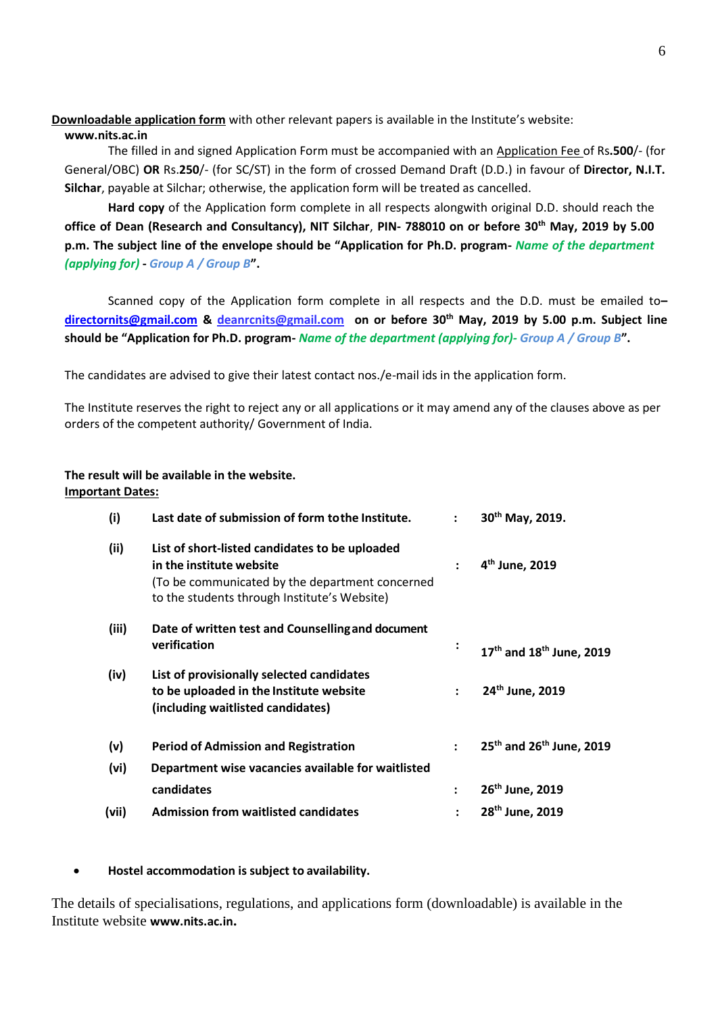# **Downloadable application form** with other relevant papers is available in the Institute's website:

### **[www.nits.ac.in](http://www.nits.ac.in/)**

The filled in and signed Application Form must be accompanied with an Application Fee of Rs**.500**/- (for General/OBC) **OR** Rs.**250**/- (for SC/ST) in the form of crossed Demand Draft (D.D.) in favour of **Director, N.I.T. Silchar**, payable at Silchar; otherwise, the application form will be treated as cancelled.

**Hard copy** of the Application form complete in all respects alongwith original D.D. should reach the **office of Dean (Research and Consultancy), NIT Silchar**, **PIN- 788010 on or before 30th May, 2019 by 5.00 p.m. The subject line of the envelope should be "Application for Ph.D. program-** *Name of the department (applying for)* **-** *Group A / Group B***".**

Scanned copy of the Application form complete in all respects and the D.D. must be emailed to**– [directornits@gmail.com](mailto:directornits@gmail.com) & [deanrcnits@gmail.com](mailto:deanrcnits@gmail.com) on or before 30th May, 2019 by 5.00 p.m. Subject line should be "Application for Ph.D. program-** *Name of the department (applying for)- Group A / Group B***".**

The candidates are advised to give their latest contact nos./e-mail ids in the application form.

The Institute reserves the right to reject any or all applications or it may amend any of the clauses above as per orders of the competent authority/ Government of India.

# **The result will be available in the website. Important Dates:**

| (i)   | Last date of submission of form to the Institute.                                                                                                                             | $\ddot{\cdot}$ | 30 <sup>th</sup> May, 2019.                      |
|-------|-------------------------------------------------------------------------------------------------------------------------------------------------------------------------------|----------------|--------------------------------------------------|
| (ii)  | List of short-listed candidates to be uploaded<br>in the institute website<br>(To be communicated by the department concerned<br>to the students through Institute's Website) | ÷              | 4 <sup>th</sup> June, 2019                       |
| (iii) | Date of written test and Counselling and document<br>verification                                                                                                             | ፡              | 17 <sup>th</sup> and 18 <sup>th</sup> June, 2019 |
| (iv)  | List of provisionally selected candidates<br>to be uploaded in the Institute website<br>(including waitlisted candidates)                                                     | $\mathbf{r}$   | 24 <sup>th</sup> June, 2019                      |
| (v)   | <b>Period of Admission and Registration</b>                                                                                                                                   | $\mathbf{L}$   | 25 <sup>th</sup> and 26 <sup>th</sup> June, 2019 |
| (vi)  | Department wise vacancies available for waitlisted                                                                                                                            |                |                                                  |
|       | candidates                                                                                                                                                                    | $\ddot{\cdot}$ | 26 <sup>th</sup> June, 2019                      |
| (vii) | <b>Admission from waitlisted candidates</b>                                                                                                                                   |                | 28 <sup>th</sup> June, 2019                      |

# **Hostel accommodation is subject to availability.**

The details of specialisations, regulations, and applications form (downloadable) is available in the Institute website **[www.nits.ac.in](http://www.nits.ac.in/).**